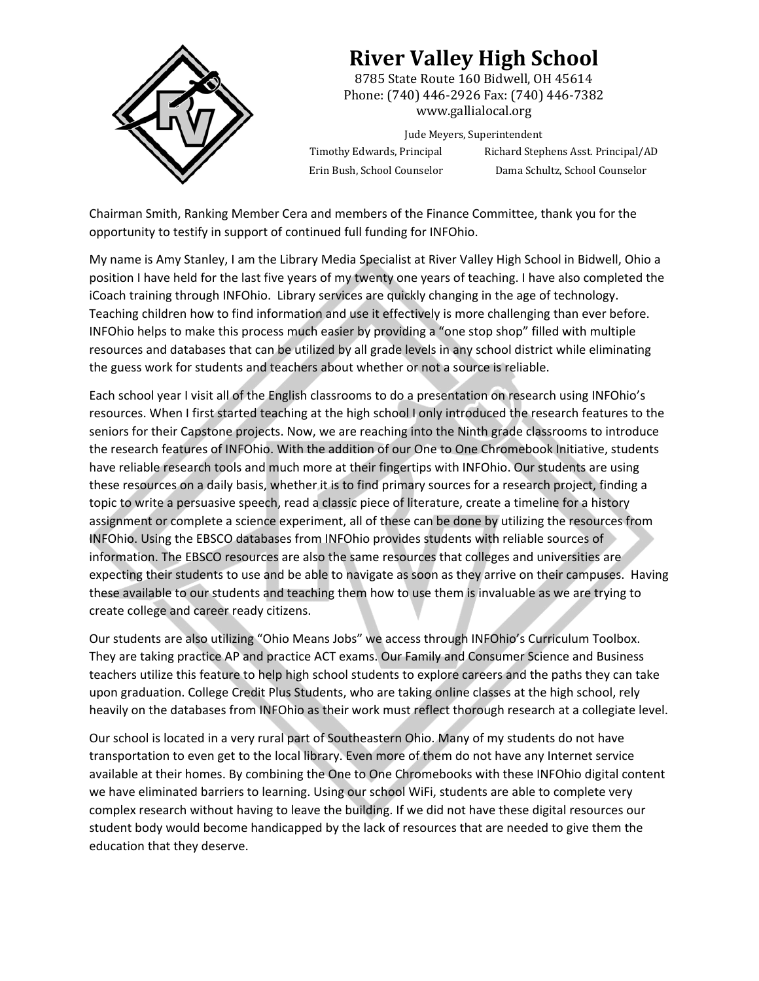

## **River Valley High School**

8785 State Route 160 Bidwell, OH 45614 Phone: (740) 446-2926 Fax: (740) 446-7382 www.gallialocal.org 

Jude Meyers, Superintendent Timothy Edwards, Principal Richard Stephens Asst. Principal/AD Erin Bush, School Counselor Dama Schultz, School Counselor

Chairman Smith, Ranking Member Cera and members of the Finance Committee, thank you for the opportunity to testify in support of continued full funding for INFOhio.

My name is Amy Stanley, I am the Library Media Specialist at River Valley High School in Bidwell, Ohio a position I have held for the last five years of my twenty one years of teaching. I have also completed the iCoach training through INFOhio. Library services are quickly changing in the age of technology. Teaching children how to find information and use it effectively is more challenging than ever before. INFOhio helps to make this process much easier by providing a "one stop shop" filled with multiple resources and databases that can be utilized by all grade levels in any school district while eliminating the guess work for students and teachers about whether or not a source is reliable.

Each school year I visit all of the English classrooms to do a presentation on research using INFOhio's resources. When I first started teaching at the high school I only introduced the research features to the seniors for their Capstone projects. Now, we are reaching into the Ninth grade classrooms to introduce the research features of INFOhio. With the addition of our One to One Chromebook Initiative, students have reliable research tools and much more at their fingertips with INFOhio. Our students are using these resources on a daily basis, whether it is to find primary sources for a research project, finding a topic to write a persuasive speech, read a classic piece of literature, create a timeline for a history assignment or complete a science experiment, all of these can be done by utilizing the resources from INFOhio. Using the EBSCO databases from INFOhio provides students with reliable sources of information. The EBSCO resources are also the same resources that colleges and universities are expecting their students to use and be able to navigate as soon as they arrive on their campuses. Having these available to our students and teaching them how to use them is invaluable as we are trying to create college and career ready citizens.

Our students are also utilizing "Ohio Means Jobs" we access through INFOhio's Curriculum Toolbox. They are taking practice AP and practice ACT exams. Our Family and Consumer Science and Business teachers utilize this feature to help high school students to explore careers and the paths they can take upon graduation. College Credit Plus Students, who are taking online classes at the high school, rely heavily on the databases from INFOhio as their work must reflect thorough research at a collegiate level.

Our school is located in a very rural part of Southeastern Ohio. Many of my students do not have transportation to even get to the local library. Even more of them do not have any Internet service available at their homes. By combining the One to One Chromebooks with these INFOhio digital content we have eliminated barriers to learning. Using our school WiFi, students are able to complete very complex research without having to leave the building. If we did not have these digital resources our student body would become handicapped by the lack of resources that are needed to give them the education that they deserve.